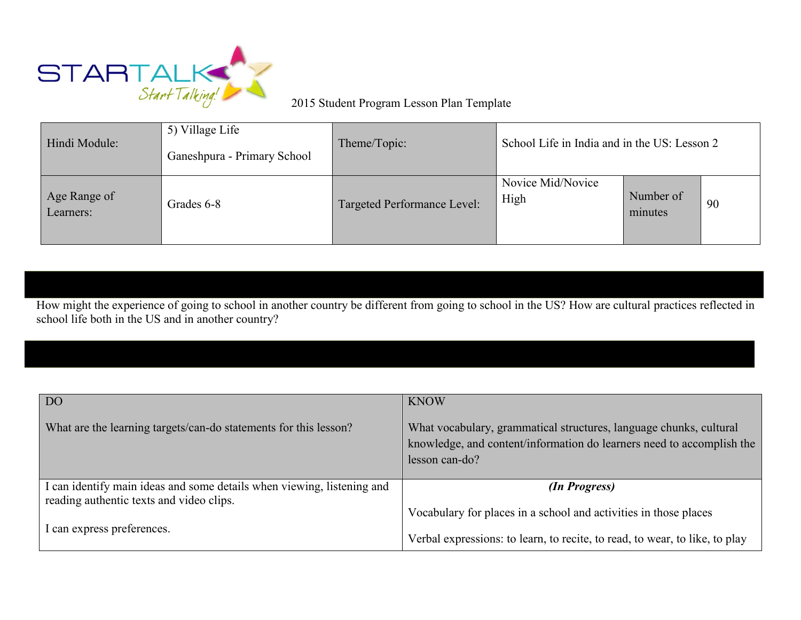

## 2015 Student Program Lesson Plan Template

| Hindi Module:             | 5) Village Life<br>Ganeshpura - Primary School | Theme/Topic:                | School Life in India and in the US: Lesson 2 |                      |    |
|---------------------------|------------------------------------------------|-----------------------------|----------------------------------------------|----------------------|----|
| Age Range of<br>Learners: | Grades 6-8                                     | Targeted Performance Level: | Novice Mid/Novice<br>High                    | Number of<br>minutes | 90 |

How might the experience of going to school in another country be different from going to school in the US? How are cultural practices reflected in school life both in the US and in another country?

| D <sub>O</sub>                                                         | <b>KNOW</b>                                                                                                                                                   |
|------------------------------------------------------------------------|---------------------------------------------------------------------------------------------------------------------------------------------------------------|
| What are the learning targets/can-do statements for this lesson?       | What vocabulary, grammatical structures, language chunks, cultural<br>knowledge, and content/information do learners need to accomplish the<br>lesson can-do? |
| I can identify main ideas and some details when viewing, listening and | (In Progress)                                                                                                                                                 |
| reading authentic texts and video clips.                               |                                                                                                                                                               |
| I can express preferences.                                             | Vocabulary for places in a school and activities in those places                                                                                              |
|                                                                        | Verbal expressions: to learn, to recite, to read, to wear, to like, to play                                                                                   |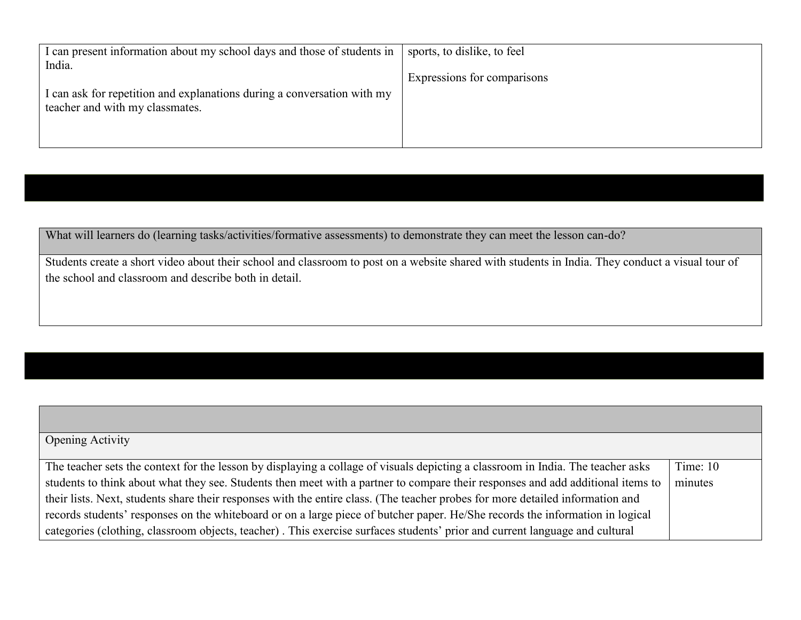| I can present information about my school days and those of students in<br>India.                          | sports, to dislike, to feel |
|------------------------------------------------------------------------------------------------------------|-----------------------------|
| I can ask for repetition and explanations during a conversation with my<br>teacher and with my classmates. | Expressions for comparisons |

What will learners do (learning tasks/activities/formative assessments) to demonstrate they can meet the lesson can-do?

Students create a short video about their school and classroom to post on a website shared with students in India. They conduct a visual tour of the school and classroom and describe both in detail.

| <b>Opening Activity</b>                                                                                                         |            |
|---------------------------------------------------------------------------------------------------------------------------------|------------|
|                                                                                                                                 |            |
| The teacher sets the context for the lesson by displaying a collage of visuals depicting a classroom in India. The teacher asks | Time: $10$ |
| students to think about what they see. Students then meet with a partner to compare their responses and add additional items to | minutes    |
| their lists. Next, students share their responses with the entire class. (The teacher probes for more detailed information and  |            |
| records students' responses on the whiteboard or on a large piece of butcher paper. He/She records the information in logical   |            |
| categories (clothing, classroom objects, teacher). This exercise surfaces students' prior and current language and cultural     |            |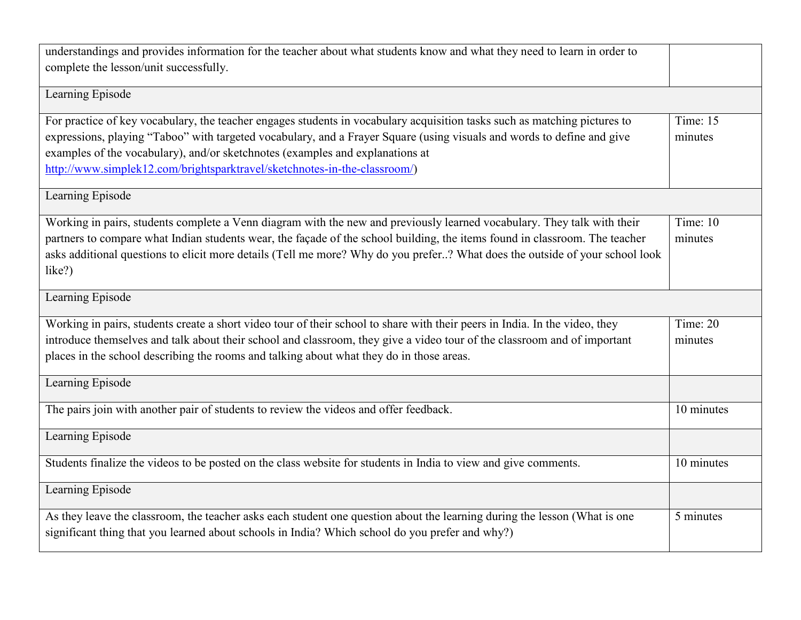| understandings and provides information for the teacher about what students know and what they need to learn in order to<br>complete the lesson/unit successfully.                                                                                                                                                                                                                                                |                       |  |
|-------------------------------------------------------------------------------------------------------------------------------------------------------------------------------------------------------------------------------------------------------------------------------------------------------------------------------------------------------------------------------------------------------------------|-----------------------|--|
| Learning Episode                                                                                                                                                                                                                                                                                                                                                                                                  |                       |  |
| For practice of key vocabulary, the teacher engages students in vocabulary acquisition tasks such as matching pictures to<br>expressions, playing "Taboo" with targeted vocabulary, and a Frayer Square (using visuals and words to define and give<br>examples of the vocabulary), and/or sketchnotes (examples and explanations at<br>http://www.simplek12.com/brightsparktravel/sketchnotes-in-the-classroom/) | Time: $15$<br>minutes |  |
| Learning Episode                                                                                                                                                                                                                                                                                                                                                                                                  |                       |  |
| Working in pairs, students complete a Venn diagram with the new and previously learned vocabulary. They talk with their<br>partners to compare what Indian students wear, the façade of the school building, the items found in classroom. The teacher<br>asks additional questions to elicit more details (Tell me more? Why do you prefer? What does the outside of your school look<br>like?)                  | Time: 10<br>minutes   |  |
| Learning Episode                                                                                                                                                                                                                                                                                                                                                                                                  |                       |  |
| Working in pairs, students create a short video tour of their school to share with their peers in India. In the video, they<br>introduce themselves and talk about their school and classroom, they give a video tour of the classroom and of important<br>places in the school describing the rooms and talking about what they do in those areas.                                                               | Time: $20$<br>minutes |  |
| Learning Episode                                                                                                                                                                                                                                                                                                                                                                                                  |                       |  |
| The pairs join with another pair of students to review the videos and offer feedback.                                                                                                                                                                                                                                                                                                                             | 10 minutes            |  |
| Learning Episode                                                                                                                                                                                                                                                                                                                                                                                                  |                       |  |
| Students finalize the videos to be posted on the class website for students in India to view and give comments.                                                                                                                                                                                                                                                                                                   | 10 minutes            |  |
| Learning Episode                                                                                                                                                                                                                                                                                                                                                                                                  |                       |  |
| As they leave the classroom, the teacher asks each student one question about the learning during the lesson (What is one<br>significant thing that you learned about schools in India? Which school do you prefer and why?)                                                                                                                                                                                      | 5 minutes             |  |